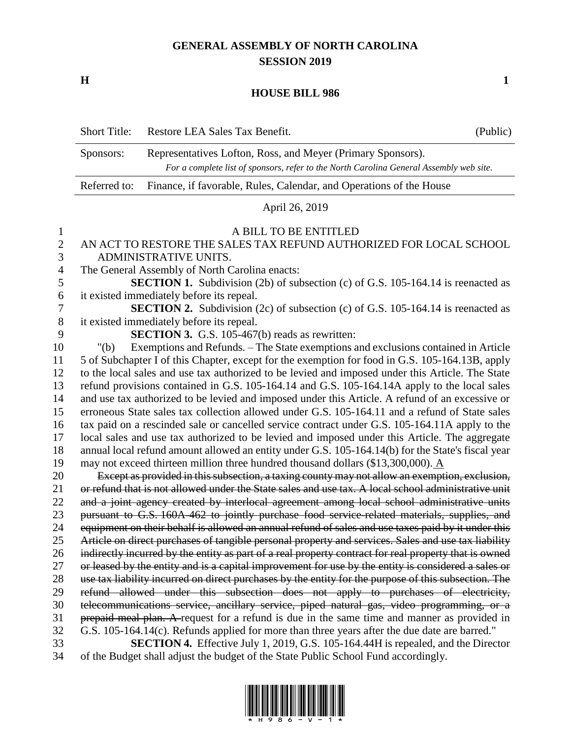# **GENERAL ASSEMBLY OF NORTH CAROLINA SESSION 2019**

**H 1**

### **HOUSE BILL 986**

| <b>Short Title:</b> | Restore LEA Sales Tax Benefit.                                                                                                                         | (Public) |
|---------------------|--------------------------------------------------------------------------------------------------------------------------------------------------------|----------|
| Sponsors:           | Representatives Lofton, Ross, and Meyer (Primary Sponsors).<br>For a complete list of sponsors, refer to the North Carolina General Assembly web site. |          |
| Referred to:        | Finance, if favorable, Rules, Calendar, and Operations of the House                                                                                    |          |
|                     |                                                                                                                                                        |          |

### April 26, 2019

### A BILL TO BE ENTITLED

## AN ACT TO RESTORE THE SALES TAX REFUND AUTHORIZED FOR LOCAL SCHOOL ADMINISTRATIVE UNITS.

The General Assembly of North Carolina enacts:

 **SECTION 1.** Subdivision (2b) of subsection (c) of G.S. 105-164.14 is reenacted as it existed immediately before its repeal.

 **SECTION 2.** Subdivision (2c) of subsection (c) of G.S. 105-164.14 is reenacted as it existed immediately before its repeal.

**SECTION 3.** G.S. 105-467(b) reads as rewritten:

 "(b) Exemptions and Refunds. – The State exemptions and exclusions contained in Article 5 of Subchapter I of this Chapter, except for the exemption for food in G.S. 105-164.13B, apply to the local sales and use tax authorized to be levied and imposed under this Article. The State refund provisions contained in G.S. 105-164.14 and G.S. 105-164.14A apply to the local sales and use tax authorized to be levied and imposed under this Article. A refund of an excessive or erroneous State sales tax collection allowed under G.S. 105-164.11 and a refund of State sales tax paid on a rescinded sale or cancelled service contract under G.S. 105-164.11A apply to the local sales and use tax authorized to be levied and imposed under this Article. The aggregate annual local refund amount allowed an entity under G.S. 105-164.14(b) for the State's fiscal year may not exceed thirteen million three hundred thousand dollars (\$13,300,000). A

 Except as provided in this subsection, a taxing county may not allow an exemption, exclusion, 21 or refund that is not allowed under the State sales and use tax. A local school administrative unit 22 and a joint agency created by interlocal agreement among local school administrative units 23 pursuant to G.S. 160A-462 to jointly purchase food service-related materials, supplies, and equipment on their behalf is allowed an annual refund of sales and use taxes paid by it under this Article on direct purchases of tangible personal property and services. Sales and use tax liability 26 indirectly incurred by the entity as part of a real property contract for real property that is owned 27 or leased by the entity and is a capital improvement for use by the entity is considered a sales or use tax liability incurred on direct purchases by the entity for the purpose of this subsection. The refund allowed under this subsection does not apply to purchases of electricity, telecommunications service, ancillary service, piped natural gas, video programming, or a 31 prepaid meal plan. A request for a refund is due in the same time and manner as provided in G.S. 105-164.14(c). Refunds applied for more than three years after the due date are barred."

 **SECTION 4.** Effective July 1, 2019, G.S. 105-164.44H is repealed, and the Director of the Budget shall adjust the budget of the State Public School Fund accordingly.